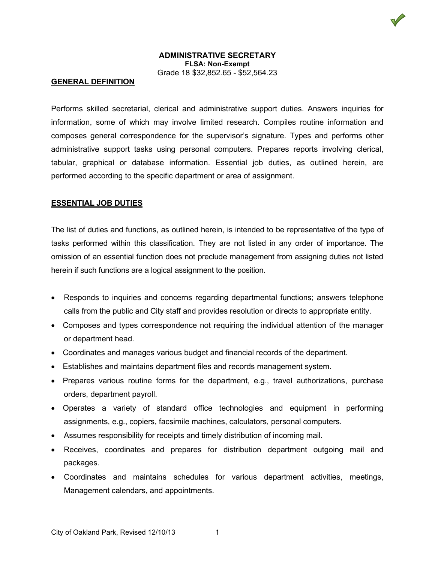## **ADMINISTRATIVE SECRETARY FLSA: Non-Exempt** Grade 18 \$32,852.65 - \$52,564.23

### **GENERAL DEFINITION**

Performs skilled secretarial, clerical and administrative support duties. Answers inquiries for information, some of which may involve limited research. Compiles routine information and composes general correspondence for the supervisor's signature. Types and performs other administrative support tasks using personal computers. Prepares reports involving clerical, tabular, graphical or database information. Essential job duties, as outlined herein, are performed according to the specific department or area of assignment.

#### **ESSENTIAL JOB DUTIES**

The list of duties and functions, as outlined herein, is intended to be representative of the type of tasks performed within this classification. They are not listed in any order of importance. The omission of an essential function does not preclude management from assigning duties not listed herein if such functions are a logical assignment to the position.

- Responds to inquiries and concerns regarding departmental functions; answers telephone calls from the public and City staff and provides resolution or directs to appropriate entity.
- Composes and types correspondence not requiring the individual attention of the manager or department head.
- Coordinates and manages various budget and financial records of the department.
- Establishes and maintains department files and records management system.
- Prepares various routine forms for the department, e.g., travel authorizations, purchase orders, department payroll.
- Operates a variety of standard office technologies and equipment in performing assignments, e.g., copiers, facsimile machines, calculators, personal computers.
- Assumes responsibility for receipts and timely distribution of incoming mail.
- Receives, coordinates and prepares for distribution department outgoing mail and packages.
- Coordinates and maintains schedules for various department activities, meetings, Management calendars, and appointments.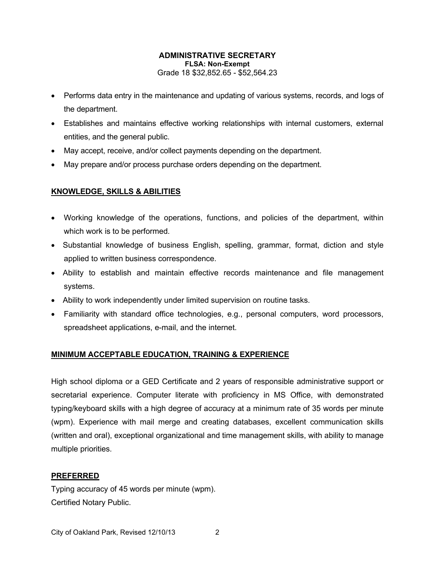## **ADMINISTRATIVE SECRETARY FLSA: Non-Exempt** Grade 18 \$32,852.65 - \$52,564.23

- Performs data entry in the maintenance and updating of various systems, records, and logs of the department.
- Establishes and maintains effective working relationships with internal customers, external entities, and the general public.
- May accept, receive, and/or collect payments depending on the department.
- May prepare and/or process purchase orders depending on the department.

# **KNOWLEDGE, SKILLS & ABILITIES**

- Working knowledge of the operations, functions, and policies of the department, within which work is to be performed.
- Substantial knowledge of business English, spelling, grammar, format, diction and style applied to written business correspondence.
- Ability to establish and maintain effective records maintenance and file management systems.
- Ability to work independently under limited supervision on routine tasks.
- Familiarity with standard office technologies, e.g., personal computers, word processors, spreadsheet applications, e-mail, and the internet.

# **MINIMUM ACCEPTABLE EDUCATION, TRAINING & EXPERIENCE**

High school diploma or a GED Certificate and 2 years of responsible administrative support or secretarial experience. Computer literate with proficiency in MS Office, with demonstrated typing/keyboard skills with a high degree of accuracy at a minimum rate of 35 words per minute (wpm). Experience with mail merge and creating databases, excellent communication skills (written and oral), exceptional organizational and time management skills, with ability to manage multiple priorities.

## **PREFERRED**

Typing accuracy of 45 words per minute (wpm). Certified Notary Public.